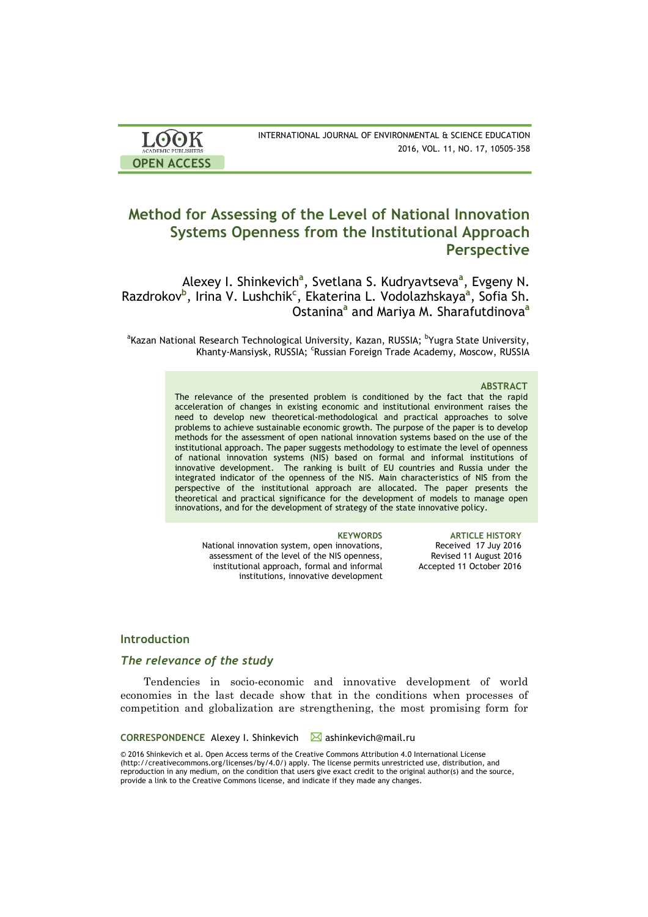| <b>LOOK</b>                | INTERNATIONAL JOURNAL OF ENVIRONMENTAL & SCIENCE EDUCATION |
|----------------------------|------------------------------------------------------------|
| <b>ACADEMIC PUBLISHERS</b> | 2016, VOL. 11, NO. 17, 10505-358                           |
| <b>OPEN ACCESS</b>         |                                                            |

# **Method for Assessing of the Level of National Innovation Systems Openness from the Institutional Approach Perspective**

Alexey I. Shinkevich<sup>a</sup>, Svetlana S. Kudryavtseva<sup>a</sup>, Evgeny N. Razdrokov**<sup>b</sup>** , Irina V. Lushchik**<sup>c</sup>** , Ekaterina L. Vodolazhskaya**<sup>a</sup>** , Sofia Sh. Ostanina**<sup>a</sup>** and Mariya M. Sharafutdinova**<sup>a</sup>**

<sup>a</sup>Kazan National Research Technological University, Kazan, RUSSIA; <sup>b</sup>Yugra State University, Khanty-Mansiysk, RUSSIA; <sup>c</sup>Russian Foreign Trade Academy, Moscow, RUSSIA

### **ABSTRACT**

The relevance of the presented problem is conditioned by the fact that the rapid acceleration of changes in existing economic and institutional environment raises the need to develop new theoretical-methodological and practical approaches to solve problems to achieve sustainable economic growth. The purpose of the paper is to develop methods for the assessment of open national innovation systems based on the use of the institutional approach. The paper suggests methodology to estimate the level of openness of national innovation systems (NIS) based on formal and informal institutions of innovative development. The ranking is built of EU countries and Russia under the integrated indicator of the openness of the NIS. Main characteristics of NIS from the perspective of the institutional approach are allocated. The paper presents the theoretical and practical significance for the development of models to manage open innovations, and for the development of strategy of the state innovative policy.

National innovation system, open innovations, assessment of the level of the NIS openness, institutional approach, formal and informal institutions, innovative development

**KEYWORDS ARTICLE HISTORY** Received 17 Juy 2016 Revised 11 August 2016 Accepted 11 October 2016

# **Introduction**

# *The relevance of the study*

Tendencies in socio-economic and innovative development of world economies in the last decade show that in the conditions when processes of competition and globalization are strengthening, the most promising form for

### **CORRESPONDENCE** Alexey I. Shinkevich **⊠** ashinkevich@mail.ru

© 2016 Shinkevich et al. Open Access terms of the Creative Commons Attribution 4.0 International License (http://creativecommons.org/licenses/by/4.0/) apply. The license permits unrestricted use, distribution, and reproduction in any medium, on the condition that users give exact credit to the original author(s) and the source, provide a link to the Creative Commons license, and indicate if they made any changes.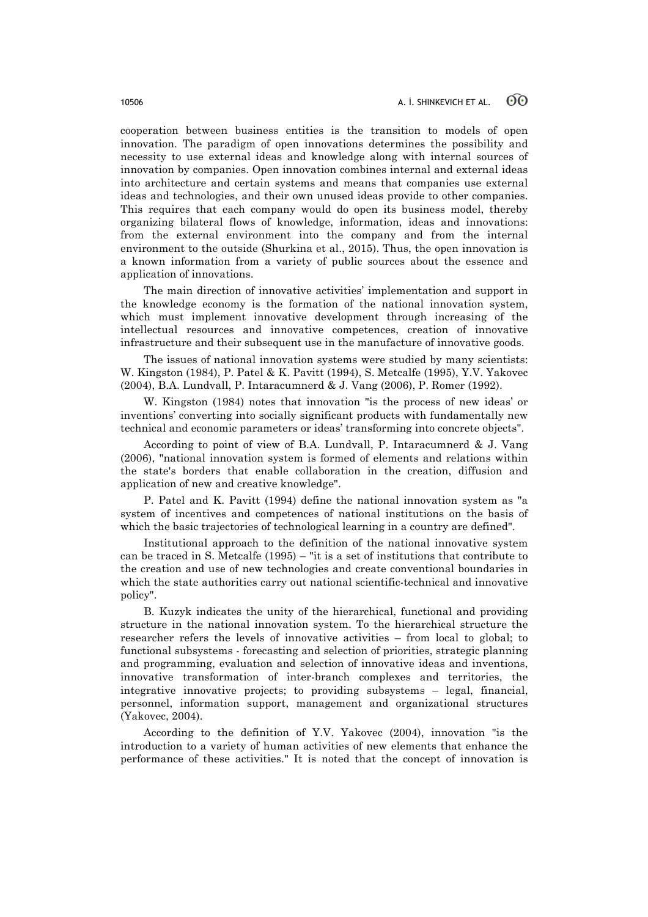cooperation between business entities is the transition to models of open innovation. The paradigm of open innovations determines the possibility and necessity to use external ideas and knowledge along with internal sources of innovation by companies. Open innovation combines internal and external ideas into architecture and certain systems and means that companies use external ideas and technologies, and their own unused ideas provide to other companies. This requires that each company would do open its business model, thereby organizing bilateral flows of knowledge, information, ideas and innovations: from the external environment into the company and from the internal environment to the outside (Shurkina et al., 2015). Thus, the open innovation is a known information from a variety of public sources about the essence and application of innovations.

The main direction of innovative activities' implementation and support in the knowledge economy is the formation of the national innovation system, which must implement innovative development through increasing of the intellectual resources and innovative competences, creation of innovative infrastructure and their subsequent use in the manufacture of innovative goods.

The issues of national innovation systems were studied by many scientists: W. Kingston (1984), P. Patel & K. Pavitt (1994), S. Metcalfe (1995), Y.V. Yakovec (2004), B.A. Lundvall, P. Intaracumnerd & J. Vang (2006), P. Romer (1992).

W. Kingston (1984) notes that innovation "is the process of new ideas' or inventions' converting into socially significant products with fundamentally new technical and economic parameters or ideas' transforming into concrete objects".

According to point of view of B.A. Lundvall, P. Intaracumnerd & J. Vang (2006), "national innovation system is formed of elements and relations within the state's borders that enable collaboration in the creation, diffusion and application of new and creative knowledge".

P. Patel and K. Pavitt (1994) define the national innovation system as "a system of incentives and competences of national institutions on the basis of which the basic trajectories of technological learning in a country are defined".

Institutional approach to the definition of the national innovative system can be traced in S. Metcalfe (1995) – "it is a set of institutions that contribute to the creation and use of new technologies and create conventional boundaries in which the state authorities carry out national scientific-technical and innovative policy".

B. Kuzyk indicates the unity of the hierarchical, functional and providing structure in the national innovation system. To the hierarchical structure the researcher refers the levels of innovative activities – from local to global; to functional subsystems - forecasting and selection of priorities, strategic planning and programming, evaluation and selection of innovative ideas and inventions, innovative transformation of inter-branch complexes and territories, the integrative innovative projects; to providing subsystems – legal, financial, personnel, information support, management and organizational structures (Yakovec, 2004).

According to the definition of Y.V. Yakovec (2004), innovation "is the introduction to a variety of human activities of new elements that enhance the performance of these activities." It is noted that the concept of innovation is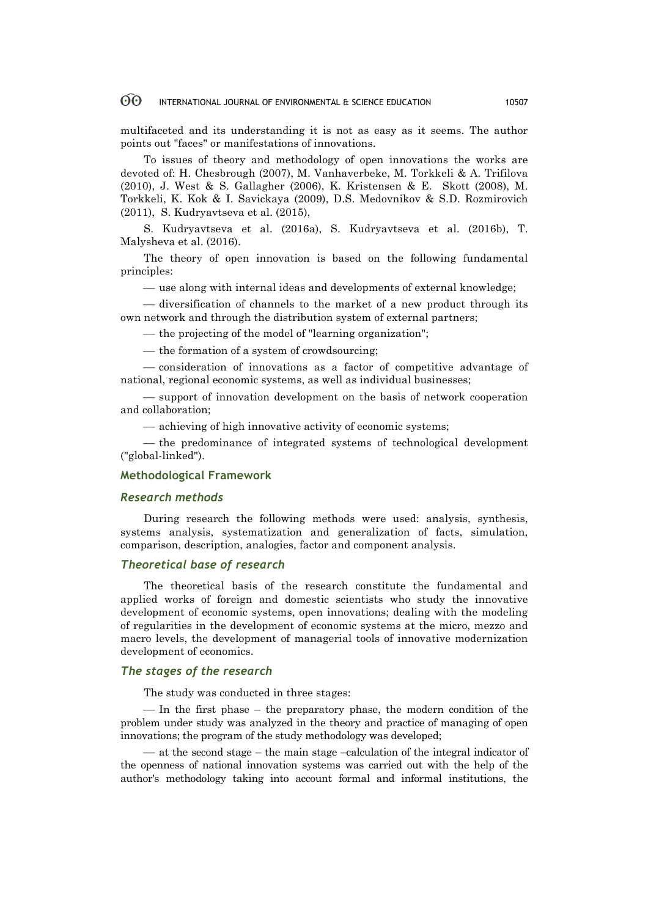multifaceted and its understanding it is not as easy as it seems. The author points out "faces" or manifestations of innovations.

To issues of theory and methodology of open innovations the works are devoted of: H. Chesbrough (2007), М. Vanhaverbeke, M. Torkkeli & A. Trifilova (2010), J. West & S. Gallagher (2006), K. Kristensen & E. Skott (2008), M. Torkkeli, K. Kok & I. Savickaya (2009), D.S. Medovnikov & S.D. Rozmirovich (2011), S. Kudryavtseva et al. (2015),

S. Kudryavtseva et al. (2016a), S. Kudryavtseva et al. (2016b), T. Malysheva et al. (2016).

The theory of open innovation is based on the following fundamental principles:

— use along with internal ideas and developments of external knowledge;

— diversification of channels to the market of a new product through its own network and through the distribution system of external partners;

— the projecting of the model of "learning organization";

¾ the formation of a system of crowdsourcing;

¾ consideration of innovations as a factor of competitive advantage of national, regional economic systems, as well as individual businesses;

¾ support of innovation development on the basis of network cooperation and collaboration;

 $-$  achieving of high innovative activity of economic systems;

— the predominance of integrated systems of technological development ("global-linked").

### **Methodological Framework**

### *Research methods*

During research the following methods were used: analysis, synthesis, systems analysis, systematization and generalization of facts, simulation, comparison, description, analogies, factor and component analysis.

# *Theoretical base of research*

The theoretical basis of the research constitute the fundamental and applied works of foreign and domestic scientists who study the innovative development of economic systems, open innovations; dealing with the modeling of regularities in the development of economic systems at the micro, mezzo and macro levels, the development of managerial tools of innovative modernization development of economics.

# *The stages of the research*

The study was conducted in three stages:

 $-$ In the first phase  $-$  the preparatory phase, the modern condition of the problem under study was analyzed in the theory and practice of managing of open innovations; the program of the study methodology was developed;

 $-$  at the second stage – the main stage –calculation of the integral indicator of the openness of national innovation systems was carried out with the help of the author's methodology taking into account formal and informal institutions, the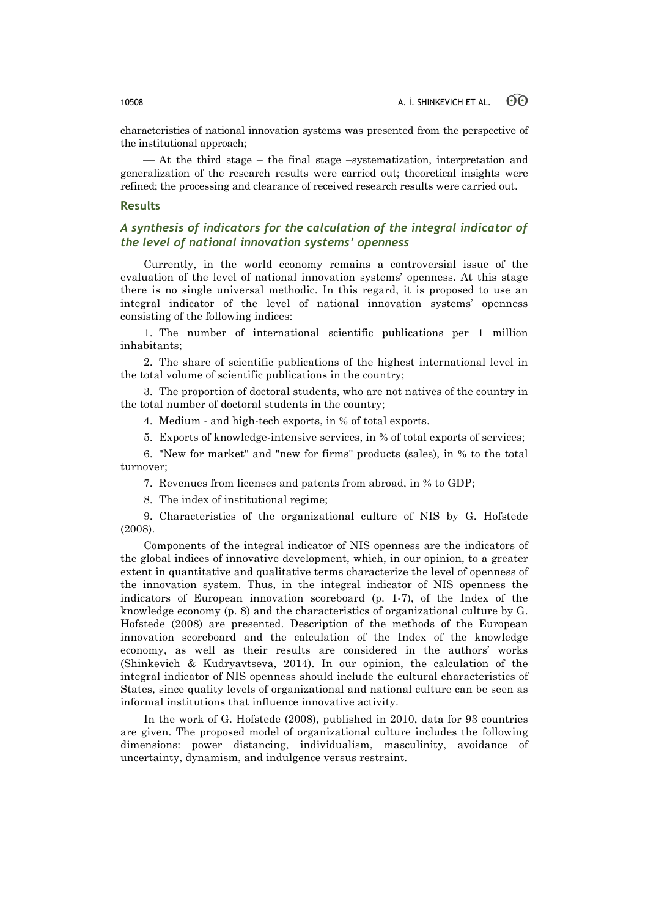characteristics of national innovation systems was presented from the perspective of the institutional approach;

¾ At the third stage – the final stage –systematization, interpretation and generalization of the research results were carried out; theoretical insights were refined; the processing and clearance of received research results were carried out.

### **Results**

# *A synthesis of indicators for the calculation of the integral indicator of the level of national innovation systems' openness*

Currently, in the world economy remains a controversial issue of the evaluation of the level of national innovation systems' openness. At this stage there is no single universal methodic. In this regard, it is proposed to use an integral indicator of the level of national innovation systems' openness consisting of the following indices:

1. The number of international scientific publications per 1 million inhabitants;

2. The share of scientific publications of the highest international level in the total volume of scientific publications in the country;

3. The proportion of doctoral students, who are not natives of the country in the total number of doctoral students in the country;

4. Medium - and high-tech exports, in % of total exports.

5. Exports of knowledge-intensive services, in % of total exports of services;

6. "New for market" and "new for firms" products (sales), in % to the total turnover;

7. Revenues from licenses and patents from abroad, in % to GDP;

8. The index of institutional regime;

9. Characteristics of the organizational culture of NIS by G. Hofstede (2008).

Components of the integral indicator of NIS openness are the indicators of the global indices of innovative development, which, in our opinion, to a greater extent in quantitative and qualitative terms characterize the level of openness of the innovation system. Thus, in the integral indicator of NIS openness the indicators of European innovation scoreboard (p. 1-7), of the Index of the knowledge economy (p. 8) and the characteristics of organizational culture by G. Hofstede (2008) are presented. Description of the methods of the European innovation scoreboard and the calculation of the Index of the knowledge economy, as well as their results are considered in the authors' works (Shinkevich & Kudryavtseva, 2014). In our opinion, the calculation of the integral indicator of NIS openness should include the cultural characteristics of States, since quality levels of organizational and national culture can be seen as informal institutions that influence innovative activity.

In the work of G. Hofstede (2008), published in 2010, data for 93 countries are given. The proposed model of organizational culture includes the following dimensions: power distancing, individualism, masculinity, avoidance of uncertainty, dynamism, and indulgence versus restraint.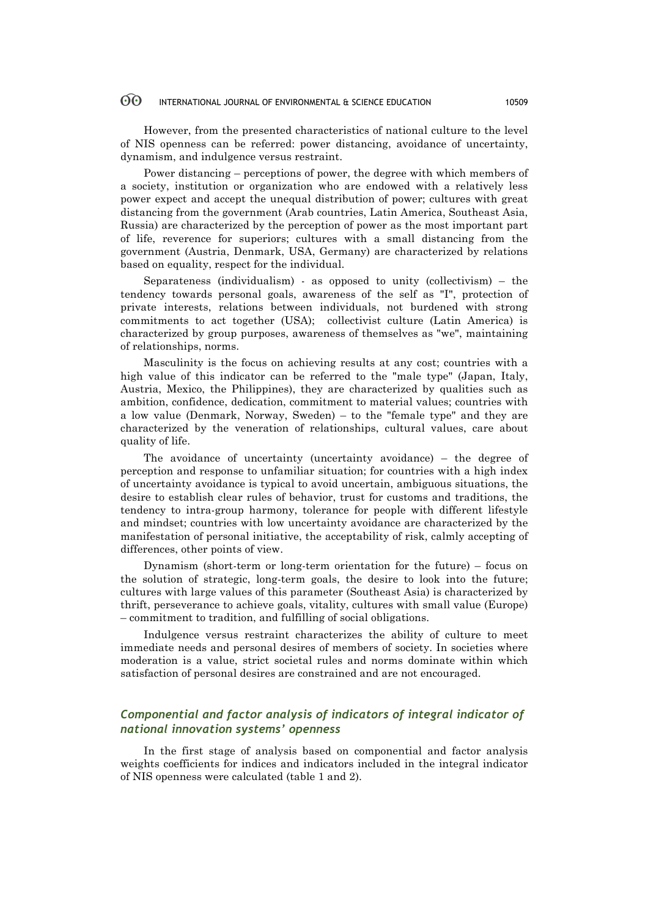However, from the presented characteristics of national culture to the level of NIS openness can be referred: power distancing, avoidance of uncertainty, dynamism, and indulgence versus restraint.

Power distancing – perceptions of power, the degree with which members of a society, institution or organization who are endowed with a relatively less power expect and accept the unequal distribution of power; cultures with great distancing from the government (Arab countries, Latin America, Southeast Asia, Russia) are characterized by the perception of power as the most important part of life, reverence for superiors; cultures with a small distancing from the government (Austria, Denmark, USA, Germany) are characterized by relations based on equality, respect for the individual.

Separateness (individualism) - as opposed to unity (collectivism) – the tendency towards personal goals, awareness of the self as "I", protection of private interests, relations between individuals, not burdened with strong commitments to act together (USA); collectivist culture (Latin America) is characterized by group purposes, awareness of themselves as "we", maintaining of relationships, norms.

Masculinity is the focus on achieving results at any cost; countries with a high value of this indicator can be referred to the "male type" (Japan, Italy, Austria, Mexico, the Philippines), they are characterized by qualities such as ambition, confidence, dedication, commitment to material values; countries with a low value (Denmark, Norway, Sweden) – to the "female type" and they are characterized by the veneration of relationships, cultural values, care about quality of life.

The avoidance of uncertainty (uncertainty avoidance) – the degree of perception and response to unfamiliar situation; for countries with a high index of uncertainty avoidance is typical to avoid uncertain, ambiguous situations, the desire to establish clear rules of behavior, trust for customs and traditions, the tendency to intra-group harmony, tolerance for people with different lifestyle and mindset; countries with low uncertainty avoidance are characterized by the manifestation of personal initiative, the acceptability of risk, calmly accepting of differences, other points of view.

Dynamism (short-term or long-term orientation for the future) – focus on the solution of strategic, long-term goals, the desire to look into the future; cultures with large values of this parameter (Southeast Asia) is characterized by thrift, perseverance to achieve goals, vitality, cultures with small value (Europe) – commitment to tradition, and fulfilling of social obligations.

Indulgence versus restraint characterizes the ability of culture to meet immediate needs and personal desires of members of society. In societies where moderation is a value, strict societal rules and norms dominate within which satisfaction of personal desires are constrained and are not encouraged.

# *Componential and factor analysis of indicators of integral indicator of national innovation systems' openness*

In the first stage of analysis based on componential and factor analysis weights coefficients for indices and indicators included in the integral indicator of NIS openness were calculated (table 1 and 2).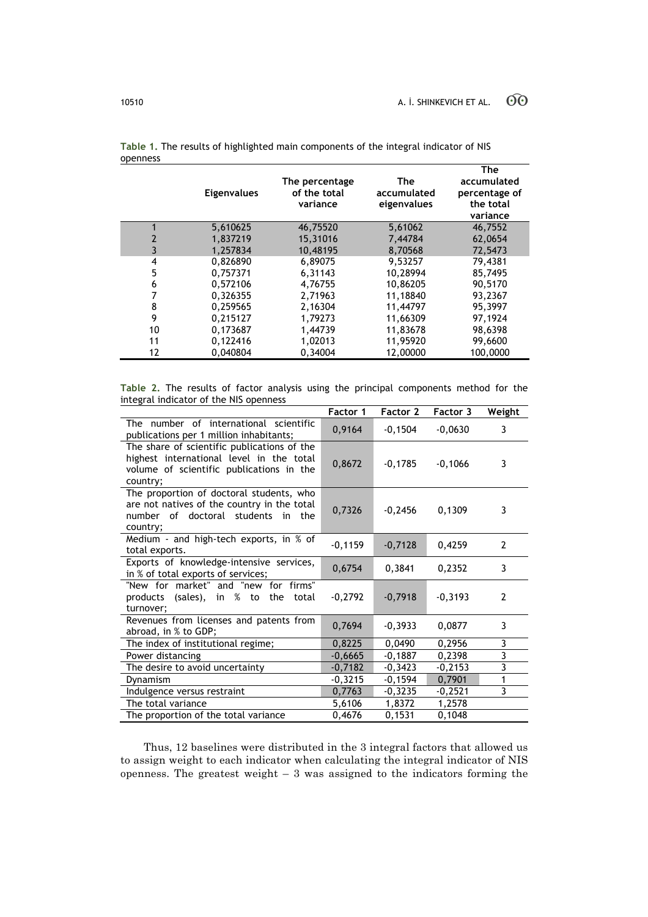|    | <b>Eigenvalues</b> | The percentage<br>of the total<br>variance | The<br>accumulated<br>eigenvalues | <b>The</b><br>accumulated<br>percentage of<br>the total<br>variance |
|----|--------------------|--------------------------------------------|-----------------------------------|---------------------------------------------------------------------|
|    | 5,610625           | 46,75520                                   | 5,61062                           | 46,7552                                                             |
| 2  | 1,837219           | 15,31016                                   | 7,44784                           | 62,0654                                                             |
| 3  | 1.257834           | 10.48195                                   | 8.70568                           | 72.5473                                                             |
| 4  | 0.826890           | 6,89075                                    | 9,53257                           | 79,4381                                                             |
| 5  | 0,757371           | 6,31143                                    | 10,28994                          | 85,7495                                                             |
| 6  | 0,572106           | 4,76755                                    | 10,86205                          | 90,5170                                                             |
| 7  | 0,326355           | 2,71963                                    | 11,18840                          | 93,2367                                                             |
| 8  | 0,259565           | 2,16304                                    | 11,44797                          | 95,3997                                                             |
| 9  | 0.215127           | 1.79273                                    | 11.66309                          | 97.1924                                                             |
| 10 | 0,173687           | 1.44739                                    | 11,83678                          | 98,6398                                                             |
| 11 | 0,122416           | 1,02013                                    | 11,95920                          | 99,6600                                                             |
| 12 | 0.040804           | 0,34004                                    | 12,00000                          | 100,0000                                                            |

**Table 1.** The results of highlighted main components of the integral indicator of NIS openness

**Table 2.** The results of factor analysis using the principal components method for the integral indicator of the NIS openness

|                                                                                                                                                 | Factor 1  | Factor 2  | <b>Factor 3</b> | Weight                  |
|-------------------------------------------------------------------------------------------------------------------------------------------------|-----------|-----------|-----------------|-------------------------|
| The number of international scientific<br>publications per 1 million inhabitants;                                                               | 0,9164    | $-0,1504$ | $-0,0630$       | 3                       |
| The share of scientific publications of the<br>highest international level in the total<br>volume of scientific publications in the<br>country; | 0,8672    | $-0,1785$ | $-0,1066$       | 3                       |
| The proportion of doctoral students, who<br>are not natives of the country in the total<br>number of doctoral students in the<br>country;       | 0,7326    | $-0,2456$ | 0,1309          | 3                       |
| Medium - and high-tech exports, in % of<br>total exports.                                                                                       | $-0,1159$ | $-0,7128$ | 0,4259          | $\overline{2}$          |
| Exports of knowledge-intensive services,<br>in % of total exports of services;                                                                  | 0,6754    | 0,3841    | 0,2352          | 3                       |
| "New for market" and "new for firms"<br>products (sales), in % to the total<br>turnover;                                                        | $-0,2792$ | $-0,7918$ | $-0,3193$       | $\overline{2}$          |
| Revenues from licenses and patents from<br>abroad, in % to GDP;                                                                                 | 0,7694    | $-0,3933$ | 0,0877          | 3                       |
| The index of institutional regime;                                                                                                              | 0,8225    | 0,0490    | 0,2956          | 3                       |
| Power distancing                                                                                                                                | $-0,6665$ | $-0,1887$ | 0.2398          | $\overline{\mathbf{3}}$ |
| The desire to avoid uncertainty                                                                                                                 | $-0,7182$ | $-0,3423$ | $-0,2153$       | $\overline{\mathbf{3}}$ |
| Dynamism                                                                                                                                        | $-0,3215$ | $-0,1594$ | 0,7901          | 1                       |
| Indulgence versus restraint                                                                                                                     | 0,7763    | $-0,3235$ | $-0,2521$       | 3                       |
| The total variance                                                                                                                              | 5,6106    | 1,8372    | 1,2578          |                         |
| The proportion of the total variance                                                                                                            | 0,4676    | 0,1531    | 0,1048          |                         |

Thus, 12 baselines were distributed in the 3 integral factors that allowed us to assign weight to each indicator when calculating the integral indicator of NIS openness. The greatest weight  $-3$  was assigned to the indicators forming the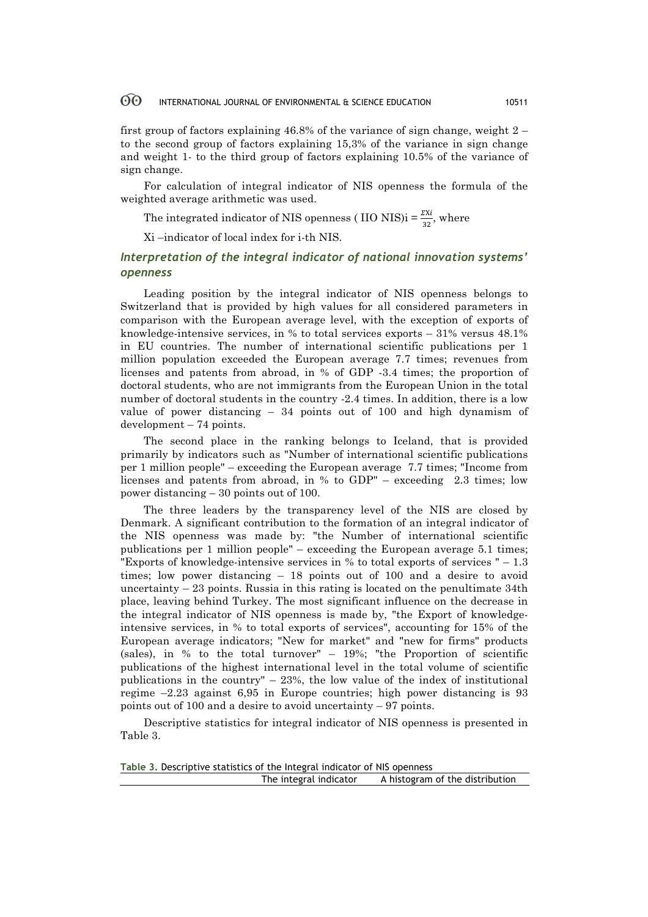first group of factors explaining 46.8% of the variance of sign change, weight  $2$ to the second group of factors explaining 15,3% of the variance in sign change and weight 1- to the third group of factors explaining 10.5% of the variance of sign change.

For calculation of integral indicator of NIS openness the formula of the weighted average arithmetic was used.

The integrated indicator of NIS openness (IIO NIS)i =  $\frac{\Sigma X i}{32}$ , where

Хi –indicator of local index for i-th NIS.

# *Interpretation of the integral indicator of national innovation systems' openness*

Leading position by the integral indicator of NIS openness belongs to Switzerland that is provided by high values for all considered parameters in comparison with the European average level, with the exception of exports of knowledge-intensive services, in % to total services exports – 31% versus 48.1% in EU countries. The number of international scientific publications per 1 million population exceeded the European average 7.7 times; revenues from licenses and patents from abroad, in % of GDP -3.4 times; the proportion of doctoral students, who are not immigrants from the European Union in the total number of doctoral students in the country -2.4 times. In addition, there is a low value of power distancing – 34 points out of 100 and high dynamism of development – 74 points.

The second place in the ranking belongs to Iceland, that is provided primarily by indicators such as "Number of international scientific publications per 1 million people" – exceeding the European average 7.7 times; "Income from licenses and patents from abroad, in % to GDP" – exceeding 2.3 times; low power distancing – 30 points out of 100.

The three leaders by the transparency level of the NIS are closed by Denmark. A significant contribution to the formation of an integral indicator of the NIS openness was made by: "the Number of international scientific publications per 1 million people" – exceeding the European average 5.1 times; "Exports of knowledge-intensive services in % to total exports of services " – 1.3 times; low power distancing – 18 points out of 100 and a desire to avoid uncertainty  $-23$  points. Russia in this rating is located on the penultimate  $34th$ place, leaving behind Turkey. The most significant influence on the decrease in the integral indicator of NIS openness is made by, "the Export of knowledgeintensive services, in % to total exports of services", accounting for 15% of the European average indicators; "New for market" and "new for firms" products (sales), in % to the total turnover" – 19%; "the Proportion of scientific publications of the highest international level in the total volume of scientific publications in the country" – 23%, the low value of the index of institutional regime –2.23 against 6,95 in Europe countries; high power distancing is 93 points out of 100 and a desire to avoid uncertainty – 97 points.

Descriptive statistics for integral indicator of NIS openness is presented in Table 3.

| Table 3. Descriptive statistics of the Integral indicator of NIS openness |                                 |
|---------------------------------------------------------------------------|---------------------------------|
| The integral indicator                                                    | A histogram of the distribution |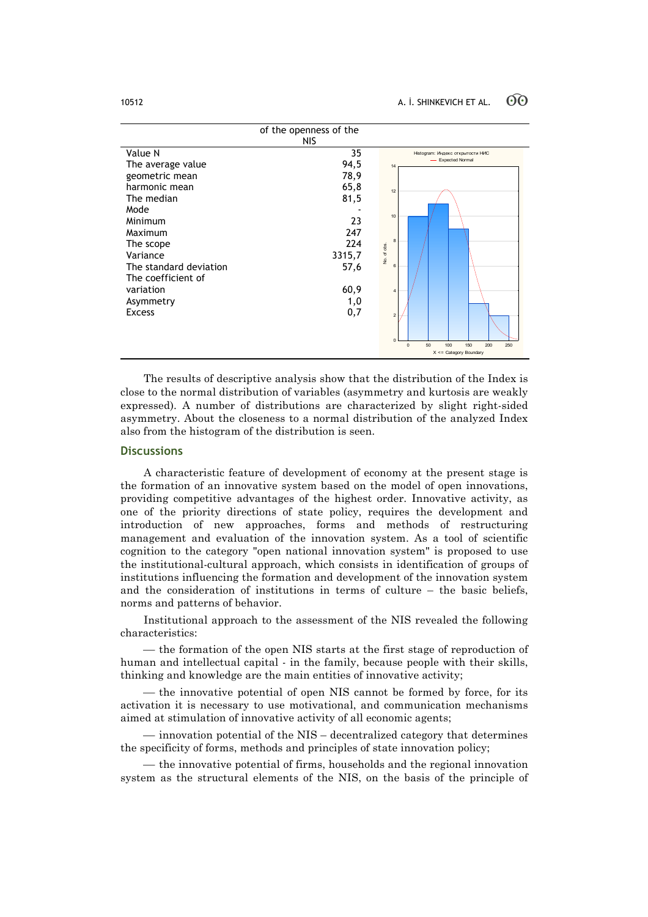|                                                                                                            | of the openness of the<br><b>NIS</b>        |                                                                                                           |
|------------------------------------------------------------------------------------------------------------|---------------------------------------------|-----------------------------------------------------------------------------------------------------------|
| Value N<br>The average value<br>geometric mean<br>harmonic mean<br>The median<br>Mode<br>Minimum           | 35<br>94,5<br>78,9<br>65,8<br>81,5<br>23    | Histogram: Индекс открытости НИС<br><b>Expected Normal</b><br>14<br>12<br>10                              |
| Maximum<br>The scope<br>Variance<br>The standard deviation<br>The coefficient of<br>variation<br>Asymmetry | 247<br>224<br>3315,7<br>57,6<br>60,9<br>1,0 | $\mathbf{a}$<br>No. of obs.<br>6<br>$\overline{4}$                                                        |
| <b>Excess</b>                                                                                              | 0,7                                         | $\overline{c}$<br>$\mathbf 0$<br>50<br>100<br>150<br>200<br>$\Omega$<br>250<br>$X \leq$ Category Boundary |

The results of descriptive analysis show that the distribution of the Index is close to the normal distribution of variables (asymmetry and kurtosis are weakly expressed). A number of distributions are characterized by slight right-sided asymmetry. About the closeness to a normal distribution of the analyzed Index also from the histogram of the distribution is seen.

## **Discussions**

A characteristic feature of development of economy at the present stage is the formation of an innovative system based on the model of open innovations, providing competitive advantages of the highest order. Innovative activity, as one of the priority directions of state policy, requires the development and introduction of new approaches, forms and methods of restructuring management and evaluation of the innovation system. As a tool of scientific cognition to the category "open national innovation system" is proposed to use the institutional-cultural approach, which consists in identification of groups of institutions influencing the formation and development of the innovation system and the consideration of institutions in terms of culture – the basic beliefs, norms and patterns of behavior.

Institutional approach to the assessment of the NIS revealed the following characteristics:

— the formation of the open NIS starts at the first stage of reproduction of human and intellectual capital - in the family, because people with their skills, thinking and knowledge are the main entities of innovative activity;

— the innovative potential of open NIS cannot be formed by force, for its activation it is necessary to use motivational, and communication mechanisms aimed at stimulation of innovative activity of all economic agents;

 $-$  innovation potential of the NIS – decentralized category that determines the specificity of forms, methods and principles of state innovation policy;

— the innovative potential of firms, households and the regional innovation system as the structural elements of the NIS, on the basis of the principle of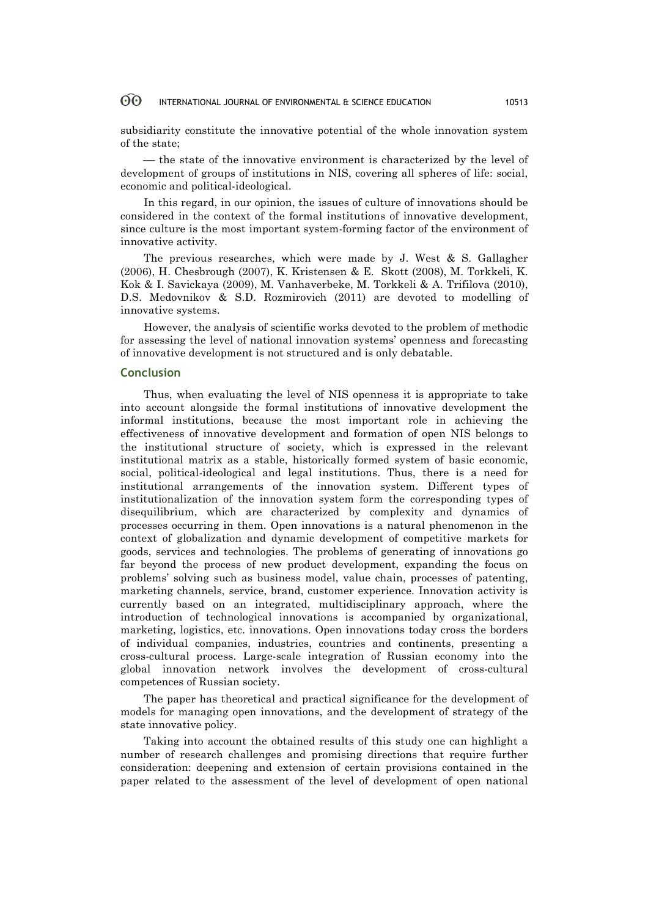subsidiarity constitute the innovative potential of the whole innovation system of the state;

¾ the state of the innovative environment is characterized by the level of development of groups of institutions in NIS, covering all spheres of life: social, economic and political-ideological.

In this regard, in our opinion, the issues of culture of innovations should be considered in the context of the formal institutions of innovative development, since culture is the most important system-forming factor of the environment of innovative activity.

The previous researches, which were made by J. West & S. Gallagher (2006), H. Chesbrough (2007), K. Kristensen & E. Skott (2008), M. Torkkeli, K. Kok & I. Savickaya (2009), М. Vanhaverbeke, M. Torkkeli & A. Trifilova (2010), D.S. Medovnikov & S.D. Rozmirovich (2011) are devoted to modelling of innovative systems.

However, the analysis of scientific works devoted to the problem of methodic for assessing the level of national innovation systems' openness and forecasting of innovative development is not structured and is only debatable.

### **Conclusion**

Thus, when evaluating the level of NIS openness it is appropriate to take into account alongside the formal institutions of innovative development the informal institutions, because the most important role in achieving the effectiveness of innovative development and formation of open NIS belongs to the institutional structure of society, which is expressed in the relevant institutional matrix as a stable, historically formed system of basic economic, social, political-ideological and legal institutions. Thus, there is a need for institutional arrangements of the innovation system. Different types of institutionalization of the innovation system form the corresponding types of disequilibrium, which are characterized by complexity and dynamics of processes occurring in them. Open innovations is a natural phenomenon in the context of globalization and dynamic development of competitive markets for goods, services and technologies. The problems of generating of innovations go far beyond the process of new product development, expanding the focus on problems' solving such as business model, value chain, processes of patenting, marketing channels, service, brand, customer experience. Innovation activity is currently based on an integrated, multidisciplinary approach, where the introduction of technological innovations is accompanied by organizational, marketing, logistics, etc. innovations. Open innovations today cross the borders of individual companies, industries, countries and continents, presenting a cross-cultural process. Large-scale integration of Russian economy into the global innovation network involves the development of cross-cultural competences of Russian society.

The paper has theoretical and practical significance for the development of models for managing open innovations, and the development of strategy of the state innovative policy.

Taking into account the obtained results of this study one can highlight a number of research challenges and promising directions that require further consideration: deepening and extension of certain provisions contained in the paper related to the assessment of the level of development of open national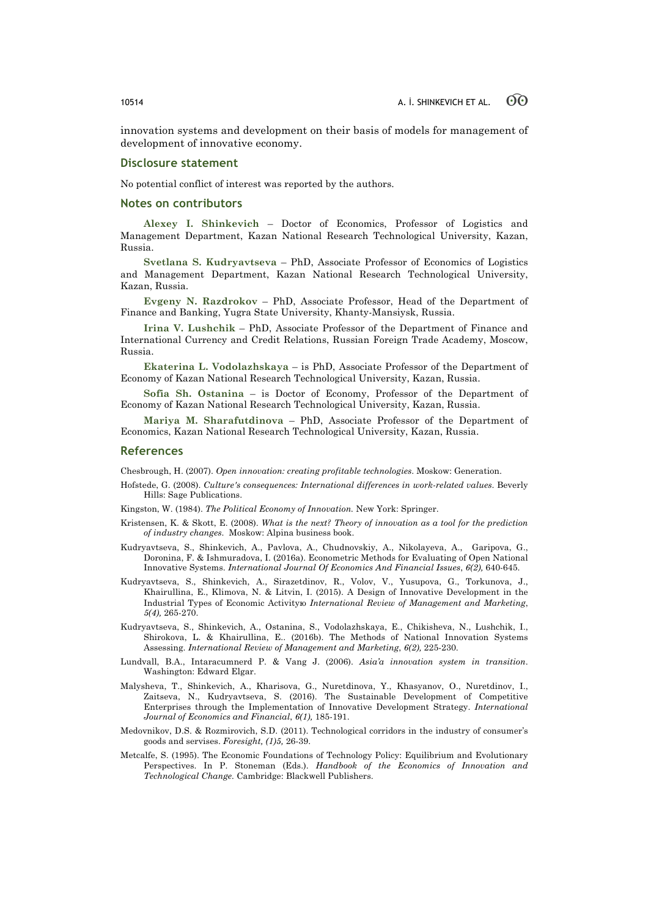innovation systems and development on their basis of models for management of development of innovative economy.

### **Disclosure statement**

No potential conflict of interest was reported by the authors.

### **Notes on contributors**

**Alexey I. Shinkevich** – Doctor of Economics, Professor of Logistics and Management Department, Kazan National Research Technological University, Kazan, Russia.

**Svetlana S. Kudryavtseva** – PhD, Associate Professor of Economics of Logistics and Management Department, Kazan National Research Technological University, Kazan, Russia.

**Evgeny N. Razdrokov** – PhD, Associate Professor, Head of the Department of Finance and Banking, Yugra State University, Khanty-Mansiysk, Russia.

**Irina V. Lushchik** – PhD, Associate Professor of the Department of Finance and International Currency and Credit Relations, Russian Foreign Trade Academy, Moscow, Russia.

**Ekaterina L. Vodolazhskaya** – is PhD, Associate Professor of the Department of Economy of Kazan National Research Technological University, Kazan, Russia.

**Sofia Sh. Ostanina** – is Doctor of Economy, Professor of the Department of Economy of Kazan National Research Technological University, Kazan, Russia.

**Mariya M. Sharafutdinova** – PhD, Associate Professor of the Department of Economics, Kazan National Research Technological University, Kazan, Russia.

### **References**

Chesbrough, H. (2007). *Open innovation: creating profitable technologies*. Мoskow: Generation.

Hofstede, G. (2008). *Culture's consequences: International differences in work-related values*. Beverly Hills: Sage Publications.

Kingston, W. (1984). *The Political Economy of Innovation.* New York: Springer.

- Kristensen, K. & Skott, E. (2008). *What is the next? Theory of innovation as a tool for the prediction of industry changes*. Мoskow: Alpina business book.
- Kudryavtseva, S., Shinkevich, A., Pavlova, A., Chudnovskiy, A., Nikolayeva, A., Garipova, G., Doronina, F. & Ishmuradova, I. (2016a). Econometric Methods for Evaluating of Open National Innovative Systems. *International Journal Of Economics And Financial Issues*, *6(2),* 640-645.
- Kudryavtseva, S., Shinkevich, A., Sirazetdinov, R., Volov, V., Yusupova, G., Torkunova, J., Khairullina, E., Klimova, N. & Litvin, I. (2015). A Design of Innovative Development in the Industrial Types of Economic Activityю *International Review of Management and Marketing*, *5(4),* 265-270.
- Kudryavtseva, S., Shinkevich, A., Ostanina, S., Vodolazhskaya, E., Chikisheva, N., Lushchik, I., Shirokova, L. & Khairullina, E.. (2016b). The Methods of National Innovation Systems Assessing. *International Review of Management and Marketing*, *6(2),* 225-230.
- Lundvall, B.A., Intaracumnerd P. & Vang J. (2006). *Asia'a innovation system in transition*. Washington: Edward Elgar.
- Malysheva, Т., Shinkevich, A., Kharisova, G., Nuretdinova, Y., Khasyanov, O., Nuretdinov, I., Zaitseva, N., Kudryavtseva, S. (2016). The Sustainable Development of Competitive Enterprises through the Implementation of Innovative Development Strategy. *International Journal of Economics and Financial*, *6(1),* 185-191.
- Medovnikov, D.S. & Rozmirovich, S.D. (2011). Technological corridors in the industry of consumer's goods and servises. *Foresight, (1)5,* 26-39.
- Metcalfe, S. (1995). The Economic Foundations of Technology Policy: Equilibrium and Evolutionary Perspectives. In P. Stoneman (Eds.). *Handbook of the Economics of Innovation and Technological Change.* Cambridge: Blackwell Publishers.